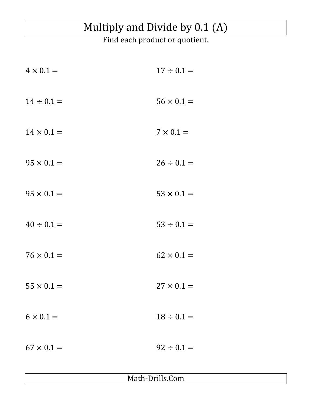## Multiply and Divide by 0.1 (A)

Find each product or quotient.

| $4 \times 0.1 =$  | $17 \div 0.1 =$   |
|-------------------|-------------------|
| $14 \div 0.1 =$   | $56 \times 0.1 =$ |
| $14 \times 0.1 =$ | $7 \times 0.1 =$  |
| $95 \times 0.1 =$ | $26 \div 0.1 =$   |
| $95 \times 0.1 =$ | $53 \times 0.1 =$ |
| $40 \div 0.1 =$   | $53 \div 0.1 =$   |
| $76 \times 0.1 =$ | $62 \times 0.1 =$ |
| $55 \times 0.1 =$ | $27 \times 0.1 =$ |
| $6 \times 0.1 =$  | $18 \div 0.1 =$   |
| $67 \times 0.1 =$ | $92 \div 0.1 =$   |